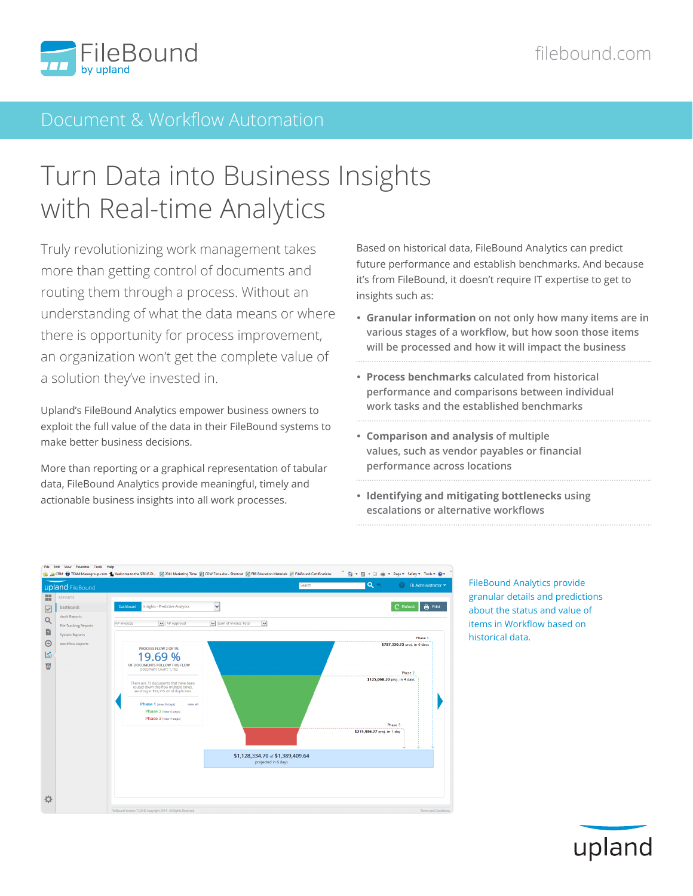

### Document & Workflow Automation

# Turn Data into Business Insights with Real-time Analytics

Truly revolutionizing work management takes more than getting control of documents and routing them through a process. Without an understanding of what the data means or where there is opportunity for process improvement, an organization won't get the complete value of a solution they've invested in.

Upland's FileBound Analytics empower business owners to exploit the full value of the data in their FileBound systems to make better business decisions.

More than reporting or a graphical representation of tabular data, FileBound Analytics provide meaningful, timely and actionable business insights into all work processes.

Based on historical data, FileBound Analytics can predict future performance and establish benchmarks. And because it's from FileBound, it doesn't require IT expertise to get to insights such as:

- **Granular information on not only how many items are in various stages of a workflow, but how soon those items will be processed and how it will impact the business**
- **Process benchmarks calculated from historical performance and comparisons between individual work tasks and the established benchmarks**
- **Comparison and analysis of multiple values, such as vendor payables or financial performance across locations**
- **Identifying and mitigating bottlenecks using escalations or alternative workflows**



FileBound Analytics provide granular details and predictions about the status and value of items in Workflow based on historical data.